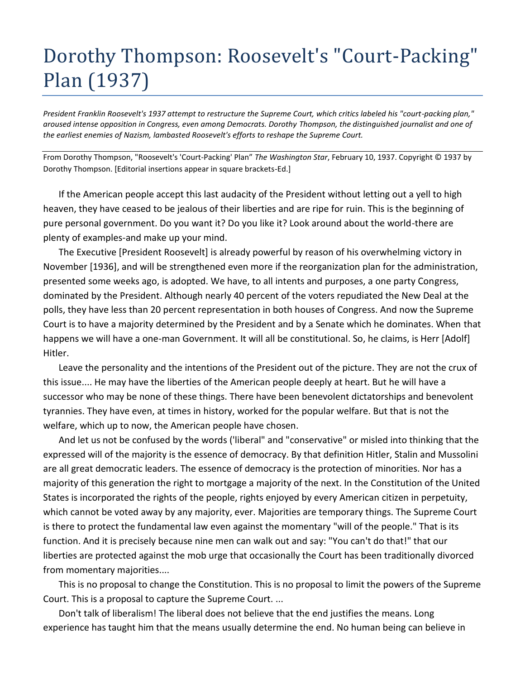## Dorothy Thompson: Roosevelt's "Court-Packing" Plan (1937)

*President Franklin Roosevelt's 1937 attempt to restructure the Supreme Court, which critics labeled his "court-packing plan," aroused intense opposition in Congress, even among Democrats. Dorothy Thompson, the distinguished journalist and one of the earliest enemies of Nazism, lambasted Roosevelt's efforts to reshape the Supreme Court.*

From Dorothy Thompson, "Roosevelt's 'Court-Packing' Plan" *The Washington Star*, February 10, 1937. Copyright © 1937 by Dorothy Thompson. [Editorial insertions appear in square brackets-Ed.]

If the American people accept this last audacity of the President without letting out a yell to high heaven, they have ceased to be jealous of their liberties and are ripe for ruin. This is the beginning of pure personal government. Do you want it? Do you like it? Look around about the world-there are plenty of examples-and make up your mind.

The Executive [President Roosevelt] is already powerful by reason of his overwhelming victory in November [1936], and will be strengthened even more if the reorganization plan for the administration, presented some weeks ago, is adopted. We have, to all intents and purposes, a one party Congress, dominated by the President. Although nearly 40 percent of the voters repudiated the New Deal at the polls, they have less than 20 percent representation in both houses of Congress. And now the Supreme Court is to have a majority determined by the President and by a Senate which he dominates. When that happens we will have a one-man Government. It will all be constitutional. So, he claims, is Herr [Adolf] Hitler.

Leave the personality and the intentions of the President out of the picture. They are not the crux of this issue.... He may have the liberties of the American people deeply at heart. But he will have a successor who may be none of these things. There have been benevolent dictatorships and benevolent tyrannies. They have even, at times in history, worked for the popular welfare. But that is not the welfare, which up to now, the American people have chosen.

And let us not be confused by the words ('liberal" and "conservative" or misled into thinking that the expressed will of the majority is the essence of democracy. By that definition Hitler, Stalin and Mussolini are all great democratic leaders. The essence of democracy is the protection of minorities. Nor has a majority of this generation the right to mortgage a majority of the next. In the Constitution of the United States is incorporated the rights of the people, rights enjoyed by every American citizen in perpetuity, which cannot be voted away by any majority, ever. Majorities are temporary things. The Supreme Court is there to protect the fundamental law even against the momentary "will of the people." That is its function. And it is precisely because nine men can walk out and say: "You can't do that!" that our liberties are protected against the mob urge that occasionally the Court has been traditionally divorced from momentary majorities....

This is no proposal to change the Constitution. This is no proposal to limit the powers of the Supreme Court. This is a proposal to capture the Supreme Court. ...

Don't talk of liberalism! The liberal does not believe that the end justifies the means. Long experience has taught him that the means usually determine the end. No human being can believe in